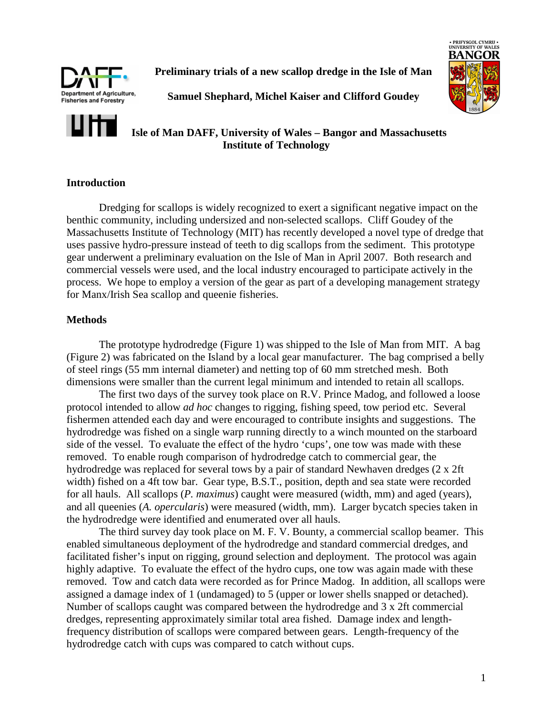

**Preliminary trials of a new scallop dredge in the Isle of Man** 



**Samuel Shephard, Michel Kaiser and Clifford Goudey** 

# **Isle of Man DAFF, University of Wales – Bangor and Massachusetts Institute of Technology**

# **Introduction**

Dredging for scallops is widely recognized to exert a significant negative impact on the benthic community, including undersized and non-selected scallops. Cliff Goudey of the Massachusetts Institute of Technology (MIT) has recently developed a novel type of dredge that uses passive hydro-pressure instead of teeth to dig scallops from the sediment. This prototype gear underwent a preliminary evaluation on the Isle of Man in April 2007. Both research and commercial vessels were used, and the local industry encouraged to participate actively in the process. We hope to employ a version of the gear as part of a developing management strategy for Manx/Irish Sea scallop and queenie fisheries.

# **Methods**

The prototype hydrodredge (Figure 1) was shipped to the Isle of Man from MIT. A bag (Figure 2) was fabricated on the Island by a local gear manufacturer. The bag comprised a belly of steel rings (55 mm internal diameter) and netting top of 60 mm stretched mesh. Both dimensions were smaller than the current legal minimum and intended to retain all scallops.

The first two days of the survey took place on R.V. Prince Madog, and followed a loose protocol intended to allow *ad hoc* changes to rigging, fishing speed, tow period etc. Several fishermen attended each day and were encouraged to contribute insights and suggestions. The hydrodredge was fished on a single warp running directly to a winch mounted on the starboard side of the vessel. To evaluate the effect of the hydro 'cups', one tow was made with these removed. To enable rough comparison of hydrodredge catch to commercial gear, the hydrodredge was replaced for several tows by a pair of standard Newhaven dredges (2 x 2ft width) fished on a 4ft tow bar. Gear type, B.S.T., position, depth and sea state were recorded for all hauls. All scallops (*P. maximus*) caught were measured (width, mm) and aged (years), and all queenies (*A. opercularis*) were measured (width, mm). Larger bycatch species taken in the hydrodredge were identified and enumerated over all hauls.

 The third survey day took place on M. F. V. Bounty, a commercial scallop beamer. This enabled simultaneous deployment of the hydrodredge and standard commercial dredges, and facilitated fisher's input on rigging, ground selection and deployment. The protocol was again highly adaptive. To evaluate the effect of the hydro cups, one tow was again made with these removed. Tow and catch data were recorded as for Prince Madog. In addition, all scallops were assigned a damage index of 1 (undamaged) to 5 (upper or lower shells snapped or detached). Number of scallops caught was compared between the hydrodredge and 3 x 2ft commercial dredges, representing approximately similar total area fished. Damage index and lengthfrequency distribution of scallops were compared between gears. Length-frequency of the hydrodredge catch with cups was compared to catch without cups.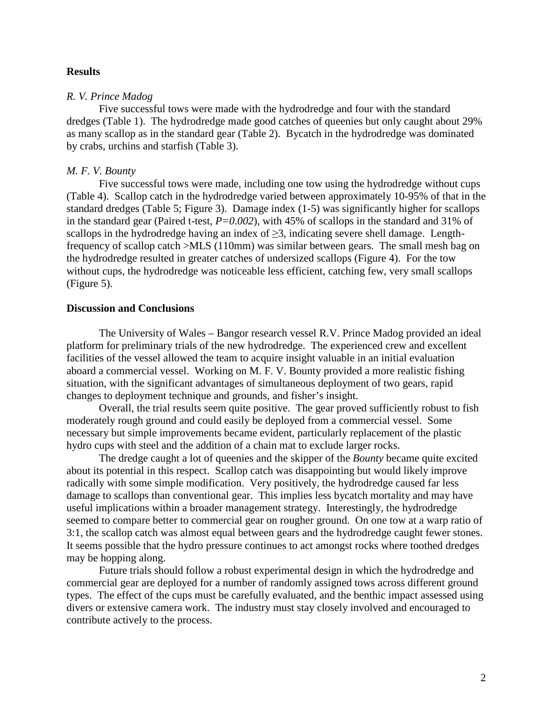### **Results**

### *R. V. Prince Madog*

Five successful tows were made with the hydrodredge and four with the standard dredges (Table 1). The hydrodredge made good catches of queenies but only caught about 29% as many scallop as in the standard gear (Table 2). Bycatch in the hydrodredge was dominated by crabs, urchins and starfish (Table 3).

#### *M. F. V. Bounty*

Five successful tows were made, including one tow using the hydrodredge without cups (Table 4). Scallop catch in the hydrodredge varied between approximately 10-95% of that in the standard dredges (Table 5; Figure 3). Damage index (1-5) was significantly higher for scallops in the standard gear (Paired t-test,  $P=0.002$ ), with 45% of scallops in the standard and 31% of scallops in the hydrodredge having an index of  $\geq$ 3, indicating severe shell damage. Lengthfrequency of scallop catch >MLS (110mm) was similar between gears. The small mesh bag on the hydrodredge resulted in greater catches of undersized scallops (Figure 4). For the tow without cups, the hydrodredge was noticeable less efficient, catching few, very small scallops (Figure 5).

#### **Discussion and Conclusions**

The University of Wales – Bangor research vessel R.V. Prince Madog provided an ideal platform for preliminary trials of the new hydrodredge. The experienced crew and excellent facilities of the vessel allowed the team to acquire insight valuable in an initial evaluation aboard a commercial vessel. Working on M. F. V. Bounty provided a more realistic fishing situation, with the significant advantages of simultaneous deployment of two gears, rapid changes to deployment technique and grounds, and fisher's insight.

 Overall, the trial results seem quite positive. The gear proved sufficiently robust to fish moderately rough ground and could easily be deployed from a commercial vessel. Some necessary but simple improvements became evident, particularly replacement of the plastic hydro cups with steel and the addition of a chain mat to exclude larger rocks.

The dredge caught a lot of queenies and the skipper of the *Bounty* became quite excited about its potential in this respect. Scallop catch was disappointing but would likely improve radically with some simple modification. Very positively, the hydrodredge caused far less damage to scallops than conventional gear. This implies less bycatch mortality and may have useful implications within a broader management strategy. Interestingly, the hydrodredge seemed to compare better to commercial gear on rougher ground. On one tow at a warp ratio of 3:1, the scallop catch was almost equal between gears and the hydrodredge caught fewer stones. It seems possible that the hydro pressure continues to act amongst rocks where toothed dredges may be hopping along.

 Future trials should follow a robust experimental design in which the hydrodredge and commercial gear are deployed for a number of randomly assigned tows across different ground types. The effect of the cups must be carefully evaluated, and the benthic impact assessed using divers or extensive camera work. The industry must stay closely involved and encouraged to contribute actively to the process.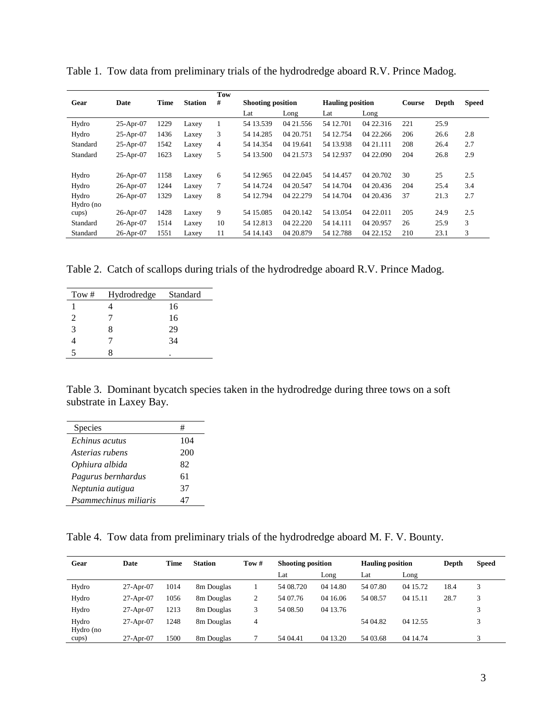|           |              |             |                | Tow |                          |           |                         |            |        |       |              |
|-----------|--------------|-------------|----------------|-----|--------------------------|-----------|-------------------------|------------|--------|-------|--------------|
| Gear      | Date         | <b>Time</b> | <b>Station</b> | #   | <b>Shooting position</b> |           | <b>Hauling position</b> |            | Course | Depth | <b>Speed</b> |
|           |              |             |                |     | Lat                      | Long      | Lat                     | Long       |        |       |              |
| Hydro     | 25-Apr-07    | 1229        | Laxey          | 1   | 54 13.539                | 04 21.556 | 54 12.701               | 04 22.316  | 221    | 25.9  |              |
| Hydro     | $25-Apr-07$  | 1436        | Laxey          | 3   | 54 14.285                | 04 20.751 | 54 12.754               | 04 22.266  | 206    | 26.6  | 2.8          |
| Standard  | $25-Apr-07$  | 1542        | Laxey          | 4   | 54 14.354                | 04 19.641 | 54 13.938               | 04 21 111  | 208    | 26.4  | 2.7          |
| Standard  | $25-Apr-07$  | 1623        | Laxey          | 5   | 54 13.500                | 04 21.573 | 54 12.937               | 04 22,090  | 204    | 26.8  | 2.9          |
|           |              |             |                |     |                          |           |                         |            |        |       |              |
| Hydro     | $26$ -Apr-07 | 1158        | Laxey          | 6   | 54 12.965                | 04 22:045 | 54 14 4 57              | 04 20.702  | 30     | 25    | 2.5          |
| Hydro     | $26$ -Apr-07 | 1244        | Laxey          | 7   | 54 14.724                | 04 20.547 | 54 14.704               | 04 20 4 36 | 204    | 25.4  | 3.4          |
| Hydro     | $26$ -Apr-07 | 1329        | Laxey          | 8   | 54 12.794                | 04 22.279 | 54 14.704               | 04 20.436  | 37     | 21.3  | 2.7          |
| Hydro (no |              |             |                |     |                          |           |                         |            |        |       |              |
| cups)     | $26$ -Apr-07 | 1428        | Laxey          | 9   | 54 15.085                | 04 20 142 | 54 13.054               | 04 22.011  | 205    | 24.9  | 2.5          |
| Standard  | 26-Apr-07    | 1514        | Laxey          | 10  | 54 12.813                | 04 22.220 | 54 14 11 1              | 04 20.957  | 26     | 25.9  | 3            |
| Standard  | 26-Apr-07    | 1551        | Laxey          | 11  | 54 14.143                | 04 20.879 | 54 12.788               | 04 22.152  | 210    | 23.1  | 3            |

Table 1. Tow data from preliminary trials of the hydrodredge aboard R.V. Prince Madog.

Table 2. Catch of scallops during trials of the hydrodredge aboard R.V. Prince Madog.

| Tow $#$ | Hydrodredge | Standard |
|---------|-------------|----------|
|         |             | 16       |
| 2       |             | 16       |
| 3       | x           | 29       |
|         |             | 34       |
|         |             | ٠        |

Table 3. Dominant bycatch species taken in the hydrodredge during three tows on a soft substrate in Laxey Bay.

| <b>Species</b>        | #   |
|-----------------------|-----|
| Echinus acutus        | 104 |
| Asterias rubens       | 200 |
| Ophiura albida        | 82  |
| Pagurus bernhardus    | 61  |
| Neptunia autigua      | 37  |
| Psammechinus miliaris | 47  |
|                       |     |

Table 4. Tow data from preliminary trials of the hydrodredge aboard M. F. V. Bounty.

| Gear               | Date        | <b>Time</b> | <b>Station</b>         | Tow# | <b>Shooting position</b> |          | <b>Hauling position</b> |          | Depth | <b>Speed</b> |
|--------------------|-------------|-------------|------------------------|------|--------------------------|----------|-------------------------|----------|-------|--------------|
|                    |             |             |                        |      | Lat                      | Long     | Lat                     | Long     |       |              |
| Hydro              | $27-Apr-07$ | 1014        | 8 <sub>m</sub> Douglas |      | 54 08.720                | 04 14.80 | 54 07.80                | 04 15.72 | 18.4  | 3            |
| Hydro              | $27-Apr-07$ | 1056        | 8m Douglas             | 2    | 54 07.76                 | 04 16.06 | 54 08.57                | 04 15.11 | 28.7  | κ            |
| Hydro              | $27-Apr-07$ | 1213        | 8m Douglas             | 3    | 54 08.50                 | 04 13.76 |                         |          |       |              |
| Hydro<br>Hydro (no | $27-Apr-07$ | 1248        | 8m Douglas             | 4    |                          |          | 54 04.82                | 04 12.55 |       |              |
| cups)              | $27-Apr-07$ | 1500        | 8m Douglas             |      | 54 04.41                 | 04 13.20 | 54 03.68                | 04 14.74 |       | 2            |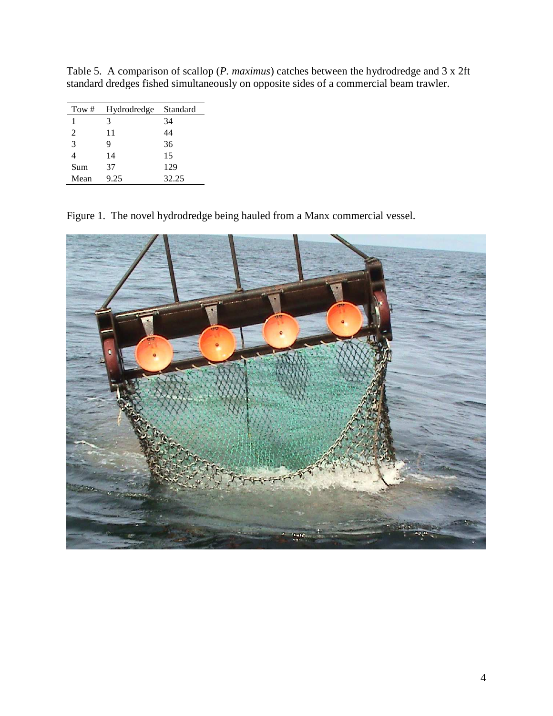| Tow $#$ | Hydrodredge | Standard |
|---------|-------------|----------|
|         | 3           | 34       |
| 2       | 11          | 44       |
| 3       | q           | 36       |
| 4       | 14          | 15       |
| Sum     | 37          | 129      |
| Mean    | 9.25        | 32.25    |

Table 5. A comparison of scallop (*P. maximus*) catches between the hydrodredge and 3 x 2ft standard dredges fished simultaneously on opposite sides of a commercial beam trawler.

Figure 1. The novel hydrodredge being hauled from a Manx commercial vessel.

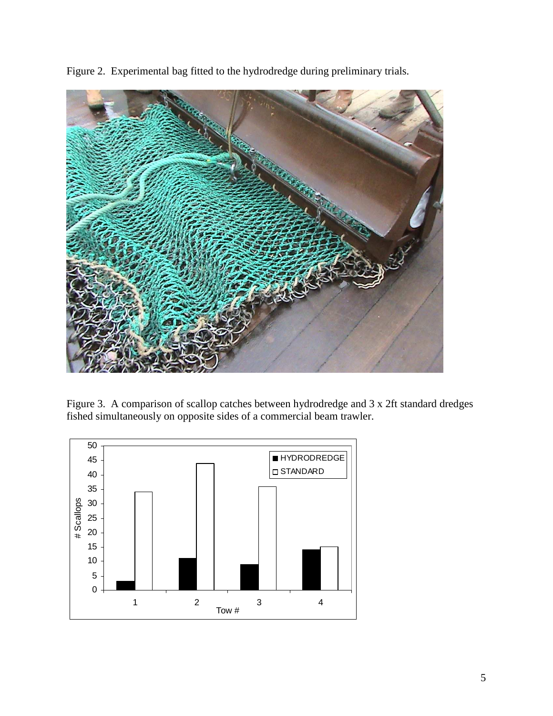



Figure 3. A comparison of scallop catches between hydrodredge and 3 x 2ft standard dredges fished simultaneously on opposite sides of a commercial beam trawler.